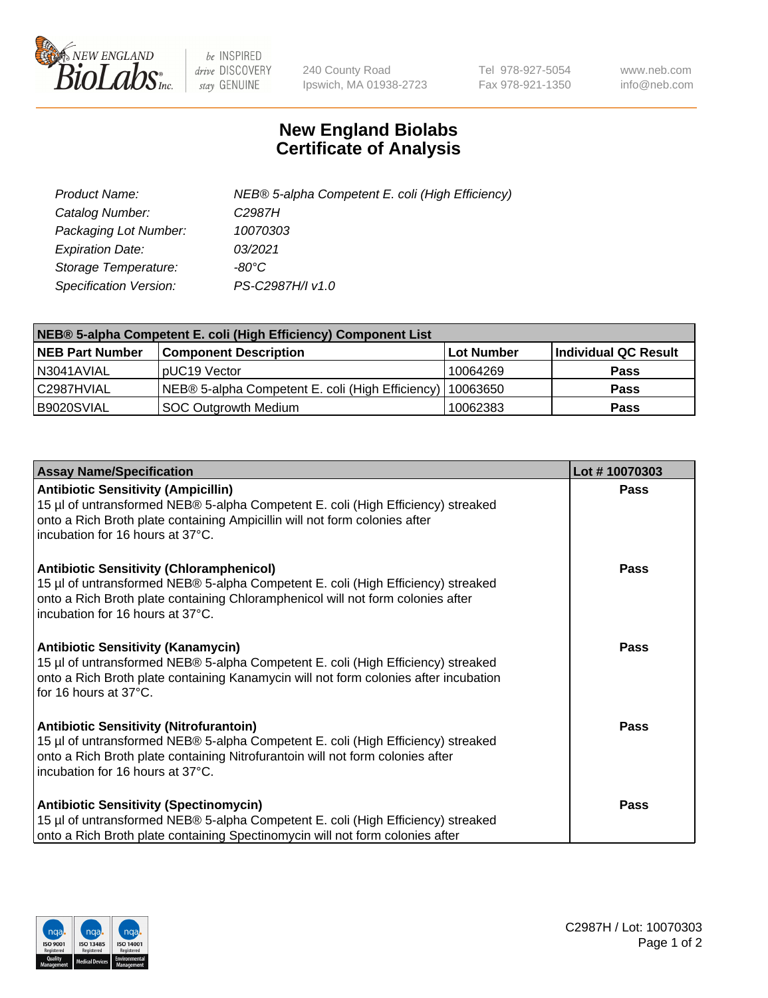

 $be$  INSPIRED drive DISCOVERY stay GENUINE

240 County Road Ipswich, MA 01938-2723 Tel 978-927-5054 Fax 978-921-1350 www.neb.com info@neb.com

## **New England Biolabs Certificate of Analysis**

| Product Name:                 | NEB® 5-alpha Competent E. coli (High Efficiency) |
|-------------------------------|--------------------------------------------------|
| Catalog Number:               | C <sub>2987</sub> H                              |
| Packaging Lot Number:         | 10070303                                         |
| <b>Expiration Date:</b>       | 03/2021                                          |
| Storage Temperature:          | -80°C                                            |
| <b>Specification Version:</b> | PS-C2987H/I v1.0                                 |

| NEB® 5-alpha Competent E. coli (High Efficiency) Component List |                                                  |            |                      |  |
|-----------------------------------------------------------------|--------------------------------------------------|------------|----------------------|--|
| <b>NEB Part Number</b>                                          | <b>Component Description</b>                     | Lot Number | Individual QC Result |  |
| N3041AVIAL                                                      | pUC19 Vector                                     | 10064269   | <b>Pass</b>          |  |
| C2987HVIAL                                                      | NEB® 5-alpha Competent E. coli (High Efficiency) | 10063650   | <b>Pass</b>          |  |
| B9020SVIAL                                                      | <b>SOC Outgrowth Medium</b>                      | 10062383   | <b>Pass</b>          |  |

| <b>Assay Name/Specification</b>                                                                                                                                                                                                                            | Lot #10070303 |
|------------------------------------------------------------------------------------------------------------------------------------------------------------------------------------------------------------------------------------------------------------|---------------|
| <b>Antibiotic Sensitivity (Ampicillin)</b><br>15 µl of untransformed NEB® 5-alpha Competent E. coli (High Efficiency) streaked<br>onto a Rich Broth plate containing Ampicillin will not form colonies after<br>incubation for 16 hours at 37°C.           | Pass          |
| <b>Antibiotic Sensitivity (Chloramphenicol)</b><br>15 µl of untransformed NEB® 5-alpha Competent E. coli (High Efficiency) streaked<br>onto a Rich Broth plate containing Chloramphenicol will not form colonies after<br>incubation for 16 hours at 37°C. | Pass          |
| Antibiotic Sensitivity (Kanamycin)<br>15 µl of untransformed NEB® 5-alpha Competent E. coli (High Efficiency) streaked<br>onto a Rich Broth plate containing Kanamycin will not form colonies after incubation<br>for 16 hours at 37°C.                    | Pass          |
| <b>Antibiotic Sensitivity (Nitrofurantoin)</b><br>15 µl of untransformed NEB® 5-alpha Competent E. coli (High Efficiency) streaked<br>onto a Rich Broth plate containing Nitrofurantoin will not form colonies after<br>incubation for 16 hours at 37°C.   | <b>Pass</b>   |
| <b>Antibiotic Sensitivity (Spectinomycin)</b><br>15 µl of untransformed NEB® 5-alpha Competent E. coli (High Efficiency) streaked<br>onto a Rich Broth plate containing Spectinomycin will not form colonies after                                         | Pass          |